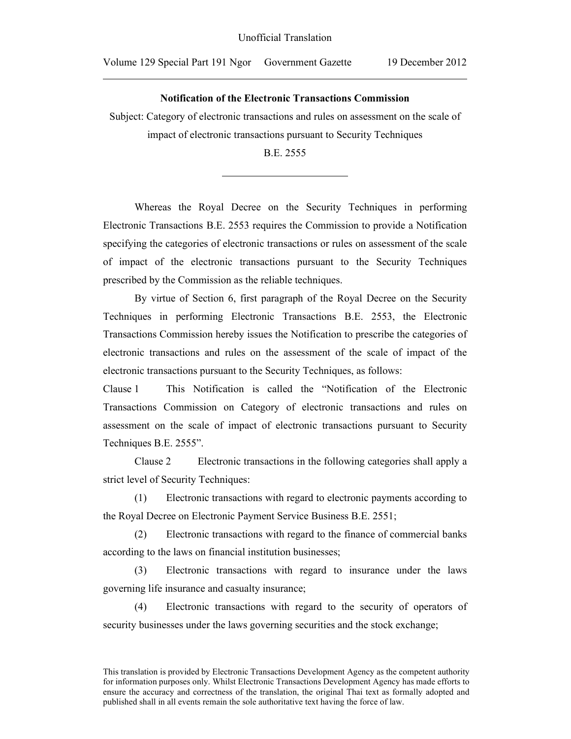$\overline{a}$ 

## **Notification of the Electronic Transactions Commission**

Subject: Category of electronic transactions and rules on assessment on the scale of impact of electronic transactions pursuant to Security Techniques

B.E. 2555

 $\overline{a}$ 

Whereas the Royal Decree on the Security Techniques in performing Electronic Transactions B.E. 2553 requires the Commission to provide a Notification specifying the categories of electronic transactions or rules on assessment of the scale of impact of the electronic transactions pursuant to the Security Techniques prescribed by the Commission as the reliable techniques.

By virtue of Section 6, first paragraph of the Royal Decree on the Security Techniques in performing Electronic Transactions B.E. 2553, the Electronic Transactions Commission hereby issues the Notification to prescribe the categories of electronic transactions and rules on the assessment of the scale of impact of the electronic transactions pursuant to the Security Techniques, as follows:

Clause 1 This Notification is called the "Notification of the Electronic Transactions Commission on Category of electronic transactions and rules on assessment on the scale of impact of electronic transactions pursuant to Security Techniques B.E. 2555".

 Clause 2 Electronic transactions in the following categories shall apply a strict level of Security Techniques:

(1) Electronic transactions with regard to electronic payments according to the Royal Decree on Electronic Payment Service Business B.E. 2551;

(2) Electronic transactions with regard to the finance of commercial banks according to the laws on financial institution businesses;

(3) Electronic transactions with regard to insurance under the laws governing life insurance and casualty insurance;

(4) Electronic transactions with regard to the security of operators of security businesses under the laws governing securities and the stock exchange;

This translation is provided by Electronic Transactions Development Agency as the competent authority for information purposes only. Whilst Electronic Transactions Development Agency has made efforts to ensure the accuracy and correctness of the translation, the original Thai text as formally adopted and published shall in all events remain the sole authoritative text having the force of law.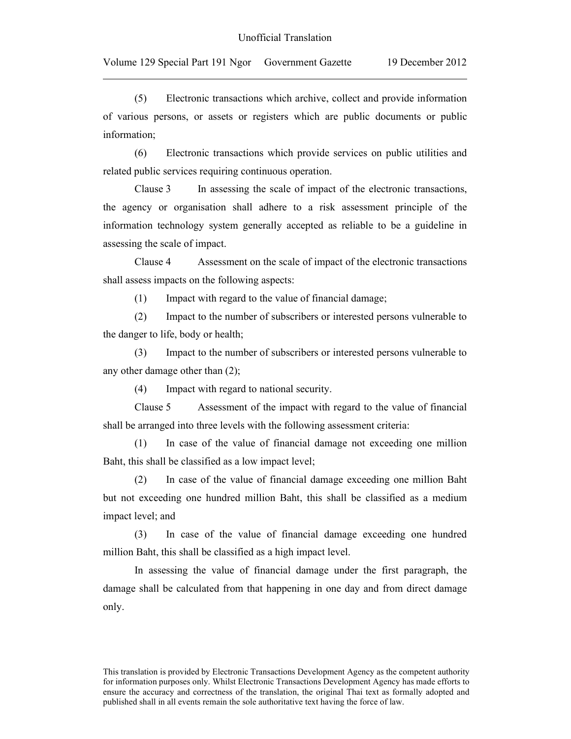$\overline{a}$ 

(5) Electronic transactions which archive, collect and provide information of various persons, or assets or registers which are public documents or public information;

(6) Electronic transactions which provide services on public utilities and related public services requiring continuous operation.

Clause 3 In assessing the scale of impact of the electronic transactions, the agency or organisation shall adhere to a risk assessment principle of the information technology system generally accepted as reliable to be a guideline in assessing the scale of impact.

Clause 4 Assessment on the scale of impact of the electronic transactions shall assess impacts on the following aspects:

(1) Impact with regard to the value of financial damage;

(2) Impact to the number of subscribers or interested persons vulnerable to the danger to life, body or health;

(3) Impact to the number of subscribers or interested persons vulnerable to any other damage other than (2);

(4) Impact with regard to national security.

Clause 5 Assessment of the impact with regard to the value of financial shall be arranged into three levels with the following assessment criteria:

(1) In case of the value of financial damage not exceeding one million Baht, this shall be classified as a low impact level;

(2) In case of the value of financial damage exceeding one million Baht but not exceeding one hundred million Baht, this shall be classified as a medium impact level; and

(3) In case of the value of financial damage exceeding one hundred million Baht, this shall be classified as a high impact level.

In assessing the value of financial damage under the first paragraph, the damage shall be calculated from that happening in one day and from direct damage only.

This translation is provided by Electronic Transactions Development Agency as the competent authority for information purposes only. Whilst Electronic Transactions Development Agency has made efforts to ensure the accuracy and correctness of the translation, the original Thai text as formally adopted and published shall in all events remain the sole authoritative text having the force of law.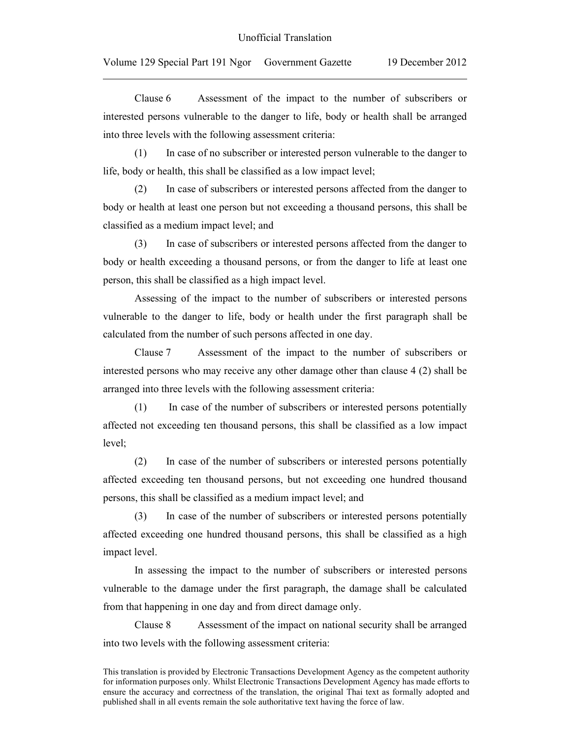$\overline{a}$ 

Clause 6 Assessment of the impact to the number of subscribers or interested persons vulnerable to the danger to life, body or health shall be arranged into three levels with the following assessment criteria:

(1) In case of no subscriber or interested person vulnerable to the danger to life, body or health, this shall be classified as a low impact level;

(2) In case of subscribers or interested persons affected from the danger to body or health at least one person but not exceeding a thousand persons, this shall be classified as a medium impact level; and

(3) In case of subscribers or interested persons affected from the danger to body or health exceeding a thousand persons, or from the danger to life at least one person, this shall be classified as a high impact level.

Assessing of the impact to the number of subscribers or interested persons vulnerable to the danger to life, body or health under the first paragraph shall be calculated from the number of such persons affected in one day.

Clause 7 Assessment of the impact to the number of subscribers or interested persons who may receive any other damage other than clause 4 (2) shall be arranged into three levels with the following assessment criteria:

(1) In case of the number of subscribers or interested persons potentially affected not exceeding ten thousand persons, this shall be classified as a low impact level;

(2) In case of the number of subscribers or interested persons potentially affected exceeding ten thousand persons, but not exceeding one hundred thousand persons, this shall be classified as a medium impact level; and

(3) In case of the number of subscribers or interested persons potentially affected exceeding one hundred thousand persons, this shall be classified as a high impact level.

In assessing the impact to the number of subscribers or interested persons vulnerable to the damage under the first paragraph, the damage shall be calculated from that happening in one day and from direct damage only.

Clause 8 Assessment of the impact on national security shall be arranged into two levels with the following assessment criteria:

This translation is provided by Electronic Transactions Development Agency as the competent authority for information purposes only. Whilst Electronic Transactions Development Agency has made efforts to ensure the accuracy and correctness of the translation, the original Thai text as formally adopted and published shall in all events remain the sole authoritative text having the force of law.